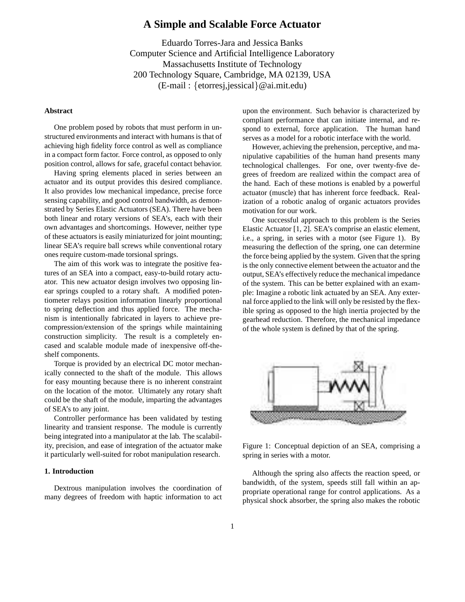# **A Simple and Scalable Force Actuator**

Eduardo Torres-Jara and Jessica Banks Computer Science and Artificial Intelligence Laboratory Massachusetts Institute of Technology 200 Technology Square, Cambridge, MA 02139, USA (E-mail : {etorresj,jessical}@ai.mit.edu)

## **Abstract**

One problem posed by robots that must perform in unstructured environments and interact with humans is that of achieving high fidelity force control as well as compliance in a compact form factor. Force control, as opposed to only position control, allows for safe, graceful contact behavior.

Having spring elements placed in series between an actuator and its output provides this desired compliance. It also provides low mechanical impedance, precise force sensing capability, and good control bandwidth, as demonstrated by Series Elastic Actuators (SEA). There have been both linear and rotary versions of SEA's, each with their own advantages and shortcomings. However, neither type of these actuators is easily miniaturized for joint mounting; linear SEA's require ball screws while conventional rotary ones require custom-made torsional springs.

The aim of this work was to integrate the positive features of an SEA into a compact, easy-to-build rotary actuator. This new actuator design involves two opposing linear springs coupled to a rotary shaft. A modified potentiometer relays position information linearly proportional to spring deflection and thus applied force. The mechanism is intentionally fabricated in layers to achieve precompression/extension of the springs while maintaining construction simplicity. The result is a completely encased and scalable module made of inexpensive off-theshelf components.

Torque is provided by an electrical DC motor mechanically connected to the shaft of the module. This allows for easy mounting because there is no inherent constraint on the location of the motor. Ultimately any rotary shaft could be the shaft of the module, imparting the advantages of SEA's to any joint.

Controller performance has been validated by testing linearity and transient response. The module is currently being integrated into a manipulator at the lab. The scalability, precision, and ease of integration of the actuator make it particularly well-suited for robot manipulation research.

## **1. Introduction**

Dextrous manipulation involves the coordination of many degrees of freedom with haptic information to act upon the environment. Such behavior is characterized by compliant performance that can initiate internal, and respond to external, force application. The human hand serves as a model for a robotic interface with the world.

However, achieving the prehension, perceptive, and manipulative capabilities of the human hand presents many technological challenges. For one, over twenty-five degrees of freedom are realized within the compact area of the hand. Each of these motions is enabled by a powerful actuator (muscle) that has inherent force feedback. Realization of a robotic analog of organic actuators provides motivation for our work.

One successful approach to this problem is the Series Elastic Actuator [1, 2]. SEA's comprise an elastic element, i.e., a spring, in series with a motor (see Figure 1). By measuring the deflection of the spring, one can determine the force being applied by the system. Given that the spring is the only connective element between the actuator and the output, SEA's effectively reduce the mechanical impedance of the system. This can be better explained with an example: Imagine a robotic link actuated by an SEA. Any external force applied to the link will only be resisted by the flexible spring as opposed to the high inertia projected by the gearhead reduction. Therefore, the mechanical impedance of the whole system is defined by that of the spring.



Figure 1: Conceptual depiction of an SEA, comprising a spring in series with a motor.

Although the spring also affects the reaction speed, or bandwidth, of the system, speeds still fall within an appropriate operational range for control applications. As a physical shock absorber, the spring also makes the robotic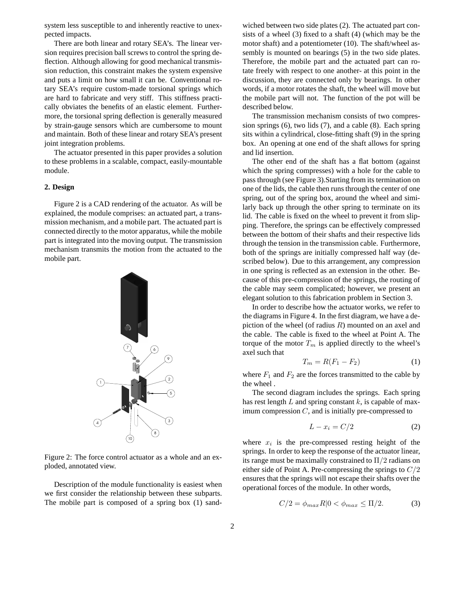system less susceptible to and inherently reactive to unexpected impacts.

There are both linear and rotary SEA's. The linear version requires precision ball screws to control the spring deflection. Although allowing for good mechanical transmission reduction, this constraint makes the system expensive and puts a limit on how small it can be. Conventional rotary SEA's require custom-made torsional springs which are hard to fabricate and very stiff. This stiffness practically obviates the benefits of an elastic element. Furthermore, the torsional spring deflection is generally measured by strain-gauge sensors which are cumbersome to mount and maintain. Both of these linear and rotary SEA's present joint integration problems.

The actuator presented in this paper provides a solution to these problems in a scalable, compact, easily-mountable module.

#### **2. Design**

Figure 2 is a CAD rendering of the actuator. As will be explained, the module comprises: an actuated part, a transmission mechanism, and a mobile part. The actuated part is connected directly to the motor apparatus, while the mobile part is integrated into the moving output. The transmission mechanism transmits the motion from the actuated to the mobile part.



Figure 2: The force control actuator as a whole and an exploded, annotated view.

Description of the module functionality is easiest when we first consider the relationship between these subparts. The mobile part is composed of a spring box (1) sand-

wiched between two side plates (2). The actuated part consists of a wheel (3) fixed to a shaft (4) (which may be the motor shaft) and a potentiometer (10). The shaft/wheel assembly is mounted on bearings (5) in the two side plates. Therefore, the mobile part and the actuated part can rotate freely with respect to one another- at this point in the discussion, they are connected only by bearings. In other words, if a motor rotates the shaft, the wheel will move but the mobile part will not. The function of the pot will be described below.

The transmission mechanism consists of two compression springs (6), two lids (7), and a cable (8). Each spring sits within a cylindrical, close-fitting shaft (9) in the spring box. An opening at one end of the shaft allows for spring and lid insertion.

The other end of the shaft has a flat bottom (against which the spring compresses) with a hole for the cable to pass through (see Figure 3).Starting from its termination on one of the lids, the cable then runs through the center of one spring, out of the spring box, around the wheel and similarly back up through the other spring to terminate on its lid. The cable is fixed on the wheel to prevent it from slipping. Therefore, the springs can be effectively compressed between the bottom of their shafts and their respective lids through the tension in the transmission cable. Furthermore, both of the springs are initially compressed half way (described below). Due to this arrangement, any compression in one spring is reflected as an extension in the other. Because of this pre-compression of the springs, the routing of the cable may seem complicated; however, we present an elegant solution to this fabrication problem in Section 3.

In order to describe how the actuator works, we refer to the diagrams in Figure 4. In the first diagram, we have a depiction of the wheel (of radius  $R$ ) mounted on an axel and the cable. The cable is fixed to the wheel at Point A. The torque of the motor  $T_m$  is applied directly to the wheel's axel such that

$$
T_m = R(F_1 - F_2) \tag{1}
$$

where  $F_1$  and  $F_2$  are the forces transmitted to the cable by the wheel .

The second diagram includes the springs. Each spring has rest length  $L$  and spring constant  $k$ , is capable of maximum compression  $C$ , and is initially pre-compressed to

$$
L - x_i = C/2 \tag{2}
$$

where  $x_i$  is the pre-compressed resting height of the springs. In order to keep the response of the actuator linear, its range must be maximally constrained to  $\Pi/2$  radians on either side of Point A. Pre-compressing the springs to  $C/2$ ensures that the springs will not escape their shafts over the operational forces of the module. In other words,

$$
C/2 = \phi_{max} R |0 < \phi_{max} \le \Pi/2. \tag{3}
$$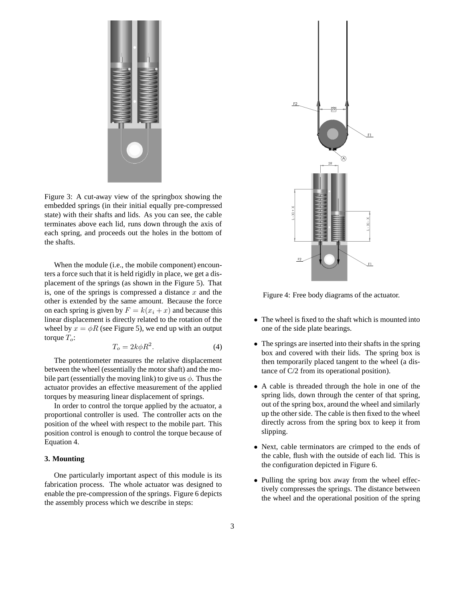

Figure 3: A cut-away view of the springbox showing the embedded springs (in their initial equally pre-compressed state) with their shafts and lids. As you can see, the cable terminates above each lid, runs down through the axis of each spring, and proceeds out the holes in the bottom of the shafts.

When the module (i.e., the mobile component) encounters a force such that it is held rigidly in place, we get a displacement of the springs (as shown in the Figure 5). That is, one of the springs is compressed a distance  $x$  and the other is extended by the same amount. Because the force on each spring is given by  $F = k(x_i + x)$  and because this linear displacement is directly related to the rotation of the wheel by  $x = \phi R$  (see Figure 5), we end up with an output torque  $T_o$ :

$$
T_o = 2k\phi R^2. \tag{4}
$$

The potentiometer measures the relative displacement between the wheel (essentially the motorshaft) and the mobile part (essentially the moving link) to give us  $\phi$ . Thus the actuator provides an effective measurement of the applied torques by measuring linear displacement of springs.

In order to control the torque applied by the actuator, a proportional controller is used. The controller acts on the position of the wheel with respect to the mobile part. This position control is enough to control the torque because of Equation 4.

# **3. Mounting**

One particularly important aspect of this module is its fabrication process. The whole actuator was designed to enable the pre-compression of the springs. Figure 6 depicts the assembly process which we describe in steps:



Figure 4: Free body diagrams of the actuator.

- The wheel is fixed to the shaft which is mounted into one of the side plate bearings.
- The springs are inserted into their shafts in the spring box and covered with their lids. The spring box is then temporarily placed tangent to the wheel (a distance of C/2 from its operational position).
- A cable is threaded through the hole in one of the spring lids, down through the center of that spring, out of the spring box, around the wheel and similarly up the other side. The cable is then fixed to the wheel directly across from the spring box to keep it from slipping.
- Next, cable terminators are crimped to the ends of the cable, flush with the outside of each lid. This is the configuration depicted in Figure 6.
- Pulling the spring box away from the wheel effectively compresses the springs. The distance between the wheel and the operational position of the spring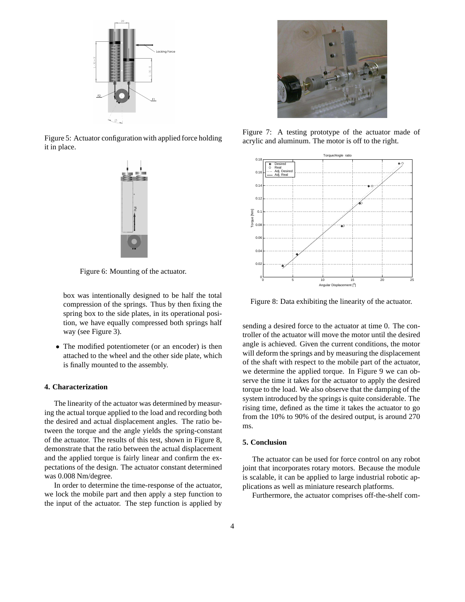

Figure 5: Actuator configuration with applied force holding it in place.



Figure 6: Mounting of the actuator.

box was intentionally designed to be half the total compression of the springs. Thus by then fixing the spring box to the side plates, in its operational position, we have equally compressed both springs half way (see Figure 3).

• The modified potentiometer (or an encoder) is then attached to the wheel and the other side plate, which is finally mounted to the assembly.

## **4. Characterization**

The linearity of the actuator was determined by measuring the actual torque applied to the load and recording both the desired and actual displacement angles. The ratio between the torque and the angle yields the spring-constant of the actuator. The results of this test, shown in Figure 8, demonstrate that the ratio between the actual displacement and the applied torque is fairly linear and confirm the expectations of the design. The actuator constant determined was 0.008 Nm/degree.

In order to determine the time-response of the actuator, we lock the mobile part and then apply a step function to the input of the actuator. The step function is applied by



Figure 7: A testing prototype of the actuator made of acrylic and aluminum. The motor is off to the right.



Figure 8: Data exhibiting the linearity of the actuator.

sending a desired force to the actuator at time 0. The controller of the actuator will move the motor until the desired angle is achieved. Given the current conditions, the motor will deform the springs and by measuring the displacement of the shaft with respect to the mobile part of the actuator, we determine the applied torque. In Figure 9 we can observe the time it takes for the actuator to apply the desired torque to the load. We also observe that the damping of the system introduced by the springs is quite considerable. The rising time, defined as the time it takes the actuator to go from the 10% to 90% of the desired output, is around 270 ms.

#### **5. Conclusion**

The actuator can be used for force control on any robot joint that incorporates rotary motors. Because the module is scalable, it can be applied to large industrial robotic applications as well as miniature research platforms.

Furthermore, the actuator comprises off-the-shelf com-